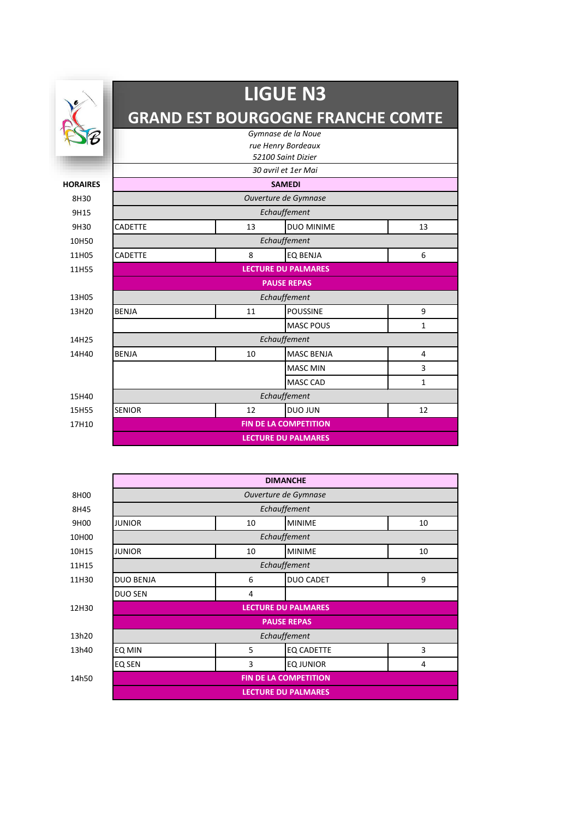|                 | <b>LIGUE N3</b><br><b>GRAND EST BOURGOGNE FRANCHE COMTE</b><br>Gymnase de la Noue<br>rue Henry Bordeaux |                              |                            |                |  |
|-----------------|---------------------------------------------------------------------------------------------------------|------------------------------|----------------------------|----------------|--|
|                 |                                                                                                         |                              |                            |                |  |
|                 |                                                                                                         |                              |                            |                |  |
|                 |                                                                                                         |                              | 52100 Saint Dizier         |                |  |
|                 |                                                                                                         |                              | 30 avril et 1er Mai        |                |  |
| <b>HORAIRES</b> |                                                                                                         |                              | <b>SAMEDI</b>              |                |  |
| 8H30            |                                                                                                         |                              | Ouverture de Gymnase       |                |  |
| 9H15            |                                                                                                         | Echauffement                 |                            |                |  |
| 9H30            | <b>CADETTE</b>                                                                                          | 13                           | <b>DUO MINIME</b>          | 13             |  |
| 10H50           |                                                                                                         |                              | Echauffement               |                |  |
| 11H05           | <b>CADETTE</b>                                                                                          | 8                            | <b>EO BENJA</b>            | 6              |  |
| 11H55           |                                                                                                         | <b>LECTURE DU PALMARES</b>   |                            |                |  |
|                 |                                                                                                         |                              | <b>PAUSE REPAS</b>         |                |  |
| 13H05           |                                                                                                         |                              | Echauffement               |                |  |
| 13H20           | <b>BENJA</b>                                                                                            | 11                           | <b>POUSSINE</b>            | 9              |  |
|                 | <b>MASC POUS</b><br>$\mathbf{1}$                                                                        |                              |                            |                |  |
| 14H25           |                                                                                                         |                              | Echauffement               |                |  |
| 14H40           | <b>BENJA</b>                                                                                            | 10                           | <b>MASC BENJA</b>          | $\overline{4}$ |  |
|                 |                                                                                                         |                              | <b>MASC MIN</b>            | 3              |  |
|                 |                                                                                                         |                              | <b>MASC CAD</b>            | $\mathbf{1}$   |  |
| 15H40           |                                                                                                         |                              | Echauffement               |                |  |
| 15H55           | <b>SENIOR</b>                                                                                           | 12                           | <b>DUO JUN</b>             | 12             |  |
| 17H10           |                                                                                                         | <b>FIN DE LA COMPETITION</b> |                            |                |  |
|                 |                                                                                                         |                              | <b>LECTURE DU PALMARES</b> |                |  |

|       | <b>DIMANCHE</b>                      |    |                   |    |  |  |
|-------|--------------------------------------|----|-------------------|----|--|--|
| 8H00  | Ouverture de Gymnase                 |    |                   |    |  |  |
| 8H45  | Echauffement                         |    |                   |    |  |  |
| 9H00  | <b>JUNIOR</b>                        | 10 | <b>MINIME</b>     | 10 |  |  |
| 10H00 | Echauffement                         |    |                   |    |  |  |
| 10H15 | <b>JUNIOR</b><br>10<br><b>MINIME</b> |    |                   | 10 |  |  |
| 11H15 | Echauffement                         |    |                   |    |  |  |
| 11H30 | <b>DUO BENJA</b>                     | 6  | <b>DUO CADET</b>  | 9  |  |  |
|       | <b>DUO SEN</b>                       | 4  |                   |    |  |  |
| 12H30 | <b>LECTURE DU PALMARES</b>           |    |                   |    |  |  |
|       | <b>PAUSE REPAS</b>                   |    |                   |    |  |  |
| 13h20 | Echauffement                         |    |                   |    |  |  |
| 13h40 | EQ MIN                               | 5  | <b>EQ CADETTE</b> | 3  |  |  |
|       | EQ SEN                               | 3  | <b>EQ JUNIOR</b>  | 4  |  |  |
| 14h50 | <b>FIN DE LA COMPETITION</b>         |    |                   |    |  |  |
|       | <b>LECTURE DU PALMARES</b>           |    |                   |    |  |  |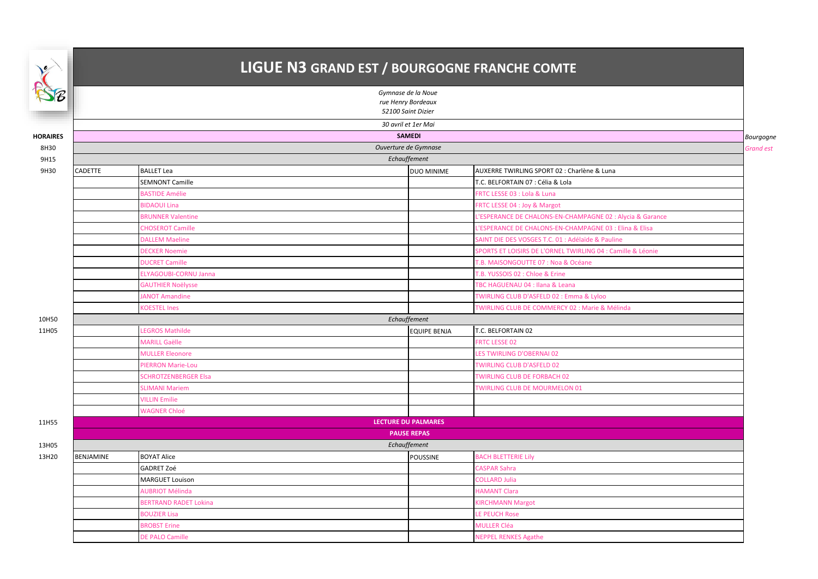## LIGUE N3 GRAND EST / BOURGOGNE FRANCHE COMTE

| SE                                       | Gymnase de la Noue  |                              |                            |                                                             |                  |  |
|------------------------------------------|---------------------|------------------------------|----------------------------|-------------------------------------------------------------|------------------|--|
| rue Henry Bordeaux<br>52100 Saint Dizier |                     |                              |                            |                                                             |                  |  |
|                                          | 30 avril et 1er Mai |                              |                            |                                                             |                  |  |
| <b>HORAIRES</b>                          |                     |                              | <b>SAMEDI</b>              |                                                             | Bourgogne        |  |
| 8H30                                     |                     |                              | Ouverture de Gymnase       |                                                             | <b>Grand est</b> |  |
| 9H15                                     |                     |                              | Echauffement               |                                                             |                  |  |
| 9H30                                     | <b>CADETTE</b>      | <b>BALLET Lea</b>            | DUO MINIME                 | AUXERRE TWIRLING SPORT 02 : Charlène & Luna                 |                  |  |
|                                          |                     | <b>SEMNONT Camille</b>       |                            | T.C. BELFORTAIN 07 : Célia & Lola                           |                  |  |
|                                          |                     | <b>BASTIDE Amélie</b>        |                            | FRTC LESSE 03 : Lola & Luna                                 |                  |  |
|                                          |                     | <b>BIDAOUI Lina</b>          |                            | FRTC LESSE 04 : Joy & Margot                                |                  |  |
|                                          |                     | <b>BRUNNER Valentine</b>     |                            | L'ESPERANCE DE CHALONS-EN-CHAMPAGNE 02 : Alycia & Garance   |                  |  |
|                                          |                     | <b>CHOSEROT Camille</b>      |                            | L'ESPERANCE DE CHALONS-EN-CHAMPAGNE 03 : Elina & Elisa      |                  |  |
|                                          |                     | <b>DALLEM Maeline</b>        |                            | SAINT DIE DES VOSGES T.C. 01 : Adélaïde & Pauline           |                  |  |
|                                          |                     | <b>DECKER Noemie</b>         |                            | SPORTS ET LOISIRS DE L'ORNEL TWIRLING 04 : Camille & Léonie |                  |  |
|                                          |                     | <b>DUCRET Camille</b>        |                            | <b>F.B. MAISONGOUTTE 07 : Noa &amp; Océane</b>              |                  |  |
|                                          |                     | ELYAGOUBI-CORNU Janna        |                            | T.B. YUSSOIS 02 : Chloe & Erine                             |                  |  |
|                                          |                     | <b>GAUTHIER Noëlysse</b>     |                            | TBC HAGUENAU 04 : Ilana & Leana                             |                  |  |
|                                          |                     | <b>JANOT Amandine</b>        |                            | TWIRLING CLUB D'ASFELD 02 : Emma & Lyloo                    |                  |  |
|                                          |                     | <b>KOESTEL Ines</b>          |                            | TWIRLING CLUB DE COMMERCY 02 : Marie & Mélinda              |                  |  |
| 10H50                                    |                     |                              | Echauffement               |                                                             |                  |  |
| 11H05                                    |                     | <b>LEGROS Mathilde</b>       | <b>EQUIPE BENJA</b>        | T.C. BELFORTAIN 02                                          |                  |  |
|                                          |                     | <b>MARILL Gaëlle</b>         |                            | <b>FRTC LESSE 02</b>                                        |                  |  |
|                                          |                     | <b>MULLER Eleonore</b>       |                            | LES TWIRLING D'OBERNAI 02                                   |                  |  |
|                                          |                     | PIERRON Marie-Lou            |                            | <b>TWIRLING CLUB D'ASFELD 02</b>                            |                  |  |
|                                          |                     | <b>SCHROTZENBERGER Elsa</b>  |                            | <b>TWIRLING CLUB DE FORBACH 02</b>                          |                  |  |
|                                          |                     | <b>SLIMANI Mariem</b>        |                            | <b>TWIRLING CLUB DE MOURMELON 01</b>                        |                  |  |
|                                          |                     | <b>VILLIN Emilie</b>         |                            |                                                             |                  |  |
|                                          |                     | <b>WAGNER Chloé</b>          |                            |                                                             |                  |  |
| 11H55                                    |                     |                              | <b>LECTURE DU PALMARES</b> |                                                             |                  |  |
|                                          |                     |                              | <b>PAUSE REPAS</b>         |                                                             |                  |  |
| 13H05                                    |                     |                              | Echauffement               |                                                             |                  |  |
| 13H20                                    | BENJAMINE           | <b>BOYAT Alice</b>           | POUSSINE                   | <b>BACH BLETTERIE Lily</b>                                  |                  |  |
|                                          |                     | GADRET Zoé                   |                            | <b>CASPAR Sahra</b>                                         |                  |  |
|                                          |                     | <b>MARGUET Louison</b>       |                            | <b>COLLARD Julia</b>                                        |                  |  |
|                                          |                     | <b>AUBRIOT Mélinda</b>       |                            | <b>HAMANT Clara</b>                                         |                  |  |
|                                          |                     | <b>BERTRAND RADET Lokina</b> |                            | <b>KIRCHMANN Margot</b>                                     |                  |  |
|                                          |                     | <b>BOUZIER Lisa</b>          |                            | LE PEUCH Rose                                               |                  |  |
|                                          |                     | <b>BROBST Erine</b>          |                            | <b>MULLER Cléa</b>                                          |                  |  |
|                                          |                     | <b>DE PALO Camille</b>       |                            | <b>NEPPEL RENKES Agathe</b>                                 |                  |  |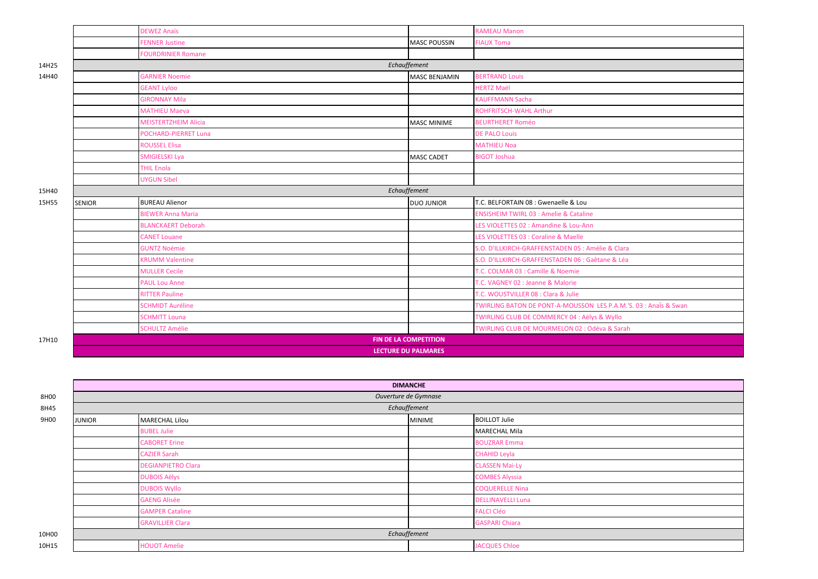|       |                            | <b>DEWEZ Anaïs</b>          |                       | <b>RAMEAU Manon</b>                                              |
|-------|----------------------------|-----------------------------|-----------------------|------------------------------------------------------------------|
|       |                            | <b>FENNER Justine</b>       | <b>MASC POUSSIN</b>   | <b>FIAUX Toma</b>                                                |
|       |                            | <b>FOURDRINIER Romane</b>   |                       |                                                                  |
| 14H25 | Echauffement               |                             |                       |                                                                  |
| 14H40 |                            | <b>GARNIER Noemie</b>       | MASC BENJAMIN         | <b>BERTRAND Louis</b>                                            |
|       |                            | <b>GEANT Lyloo</b>          |                       | <b>HERTZ Maël</b>                                                |
|       |                            | <b>GIRONNAY Mila</b>        |                       | <b>KAUFFMANN Sacha</b>                                           |
|       |                            | <b>MATHIEU Maeva</b>        |                       | ROHFRITSCH-WAHL Arthur                                           |
|       |                            | <b>MEISTERTZHEIM Alicia</b> | <b>MASC MINIME</b>    | <b>BEURTHERET Roméo</b>                                          |
|       |                            | <b>POCHARD-PIERRET Luna</b> |                       | <b>DE PALO Louis</b>                                             |
|       |                            | <b>ROUSSEL Elisa</b>        |                       | <b>MATHIEU Noa</b>                                               |
|       |                            | SMIGIELSKI Lya              | <b>MASC CADET</b>     | <b>BIGOT Joshua</b>                                              |
|       |                            | <b>THIL Enola</b>           |                       |                                                                  |
|       |                            | <b>UYGUN Sibel</b>          |                       |                                                                  |
| 15H40 |                            |                             | Echauffement          |                                                                  |
| 15H55 | <b>SENIOR</b>              | <b>BUREAU Alienor</b>       | <b>DUO JUNIOR</b>     | T.C. BELFORTAIN 08 : Gwenaelle & Lou                             |
|       |                            | <b>BIEWER Anna Maria</b>    |                       | <b>ENSISHEIM TWIRL 03 : Amelie &amp; Cataline</b>                |
|       |                            | <b>BLANCKAERT Deborah</b>   |                       | LES VIOLETTES 02 : Amandine & Lou-Ann                            |
|       |                            | <b>CANET Louane</b>         |                       | LES VIOLETTES 03 : Coraline & Maelle                             |
|       |                            | <b>GUNTZ Noémie</b>         |                       | S.O. D'ILLKIRCH-GRAFFENSTADEN 05 : Amélie & Clara                |
|       |                            | <b>KRUMM Valentine</b>      |                       | S.O. D'ILLKIRCH-GRAFFENSTADEN 06 : Gaêtane & Léa                 |
|       |                            | <b>MULLER Cecile</b>        |                       | <b>T.C. COLMAR 03 : Camille &amp; Noemie</b>                     |
|       |                            | <b>PAUL Lou Anne</b>        |                       | T.C. VAGNEY 02 : Jeanne & Malorie                                |
|       |                            | <b>RITTER Pauline</b>       |                       | T.C. WOUSTVILLER 08 : Clara & Julie                              |
|       |                            | <b>SCHMIDT Auréline</b>     |                       | TWIRLING BATON DE PONT-A-MOUSSON LES P.A.M.'S. 03 : Anaïs & Swan |
|       |                            | <b>SCHMITT Louna</b>        |                       | TWIRLING CLUB DE COMMERCY 04 : Aëlys & Wyllo                     |
|       |                            | <b>SCHULTZ Amélie</b>       |                       | TWIRLING CLUB DE MOURMELON 02 : Odéva & Sarah                    |
| 17H10 |                            |                             | FIN DE LA COMPETITION |                                                                  |
|       | <b>LECTURE DU PALMARES</b> |                             |                       |                                                                  |

|       | <b>DIMANCHE</b>      |                           |               |                          |  |  |
|-------|----------------------|---------------------------|---------------|--------------------------|--|--|
| 8H00  | Ouverture de Gymnase |                           |               |                          |  |  |
| 8H45  | Echauffement         |                           |               |                          |  |  |
| 9H00  | <b>JUNIOR</b>        | <b>MARECHAL Lilou</b>     | <b>MINIME</b> | <b>BOILLOT Julie</b>     |  |  |
|       |                      | <b>BUBEL Julie</b>        |               | <b>MARECHAL Mila</b>     |  |  |
|       |                      | <b>CABORET Erine</b>      |               | <b>BOUZRAR Emma</b>      |  |  |
|       |                      | <b>CAZIER Sarah</b>       |               | <b>CHAHID Leyla</b>      |  |  |
|       |                      | <b>DEGIANPIETRO Clara</b> |               | <b>CLASSEN Mai-Ly</b>    |  |  |
|       |                      | <b>DUBOIS Aëlys</b>       |               | <b>COMBES Alyssia</b>    |  |  |
|       |                      | <b>DUBOIS Wyllo</b>       |               | <b>COQUERELLE Nina</b>   |  |  |
|       |                      | <b>GAENG Alisée</b>       |               | <b>DELLINAVELLI Luna</b> |  |  |
|       |                      | <b>GAMPER Cataline</b>    |               | <b>FALCI Cléo</b>        |  |  |
|       |                      | <b>GRAVILLIER Clara</b>   |               | <b>GASPARI Chiara</b>    |  |  |
| 10H00 | Echauffement         |                           |               |                          |  |  |
| 10H15 |                      | <b>HOUOT Amelie</b>       |               | <b>JACQUES Chloe</b>     |  |  |